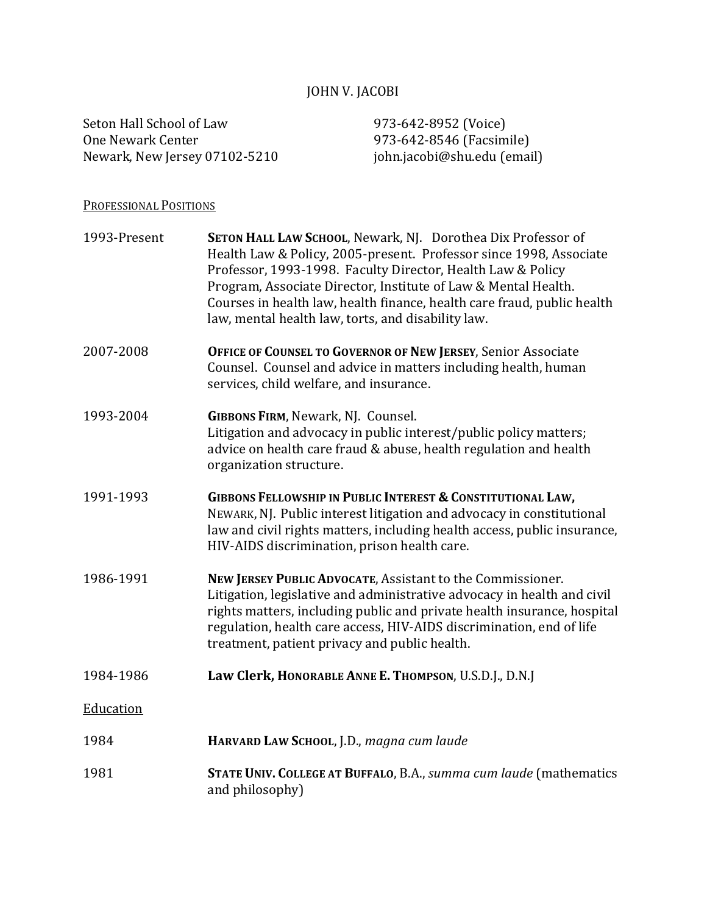# JOHN V. JACOBI

Seton Hall School of Law 973-642-8952 (Voice)<br>One Newark Center 973-642-8546 (Facsim Newark, New Jersey 07102-5210

973-642-8546 (Facsimile)<br>john.jacobi@shu.edu (email)

## PROFESSIONAL POSITIONS

| 1993-Present | SETON HALL LAW SCHOOL, Newark, NJ. Dorothea Dix Professor of<br>Health Law & Policy, 2005-present. Professor since 1998, Associate<br>Professor, 1993-1998. Faculty Director, Health Law & Policy<br>Program, Associate Director, Institute of Law & Mental Health.<br>Courses in health law, health finance, health care fraud, public health<br>law, mental health law, torts, and disability law. |
|--------------|------------------------------------------------------------------------------------------------------------------------------------------------------------------------------------------------------------------------------------------------------------------------------------------------------------------------------------------------------------------------------------------------------|
| 2007-2008    | OFFICE OF COUNSEL TO GOVERNOR OF NEW JERSEY, Senior Associate<br>Counsel. Counsel and advice in matters including health, human<br>services, child welfare, and insurance.                                                                                                                                                                                                                           |
| 1993-2004    | <b>GIBBONS FIRM, Newark, NJ. Counsel.</b><br>Litigation and advocacy in public interest/public policy matters;<br>advice on health care fraud & abuse, health regulation and health<br>organization structure.                                                                                                                                                                                       |
| 1991-1993    | <b>GIBBONS FELLOWSHIP IN PUBLIC INTEREST &amp; CONSTITUTIONAL LAW,</b><br>NEWARK, NJ. Public interest litigation and advocacy in constitutional<br>law and civil rights matters, including health access, public insurance,<br>HIV-AIDS discrimination, prison health care.                                                                                                                          |
| 1986-1991    | NEW JERSEY PUBLIC ADVOCATE, Assistant to the Commissioner.<br>Litigation, legislative and administrative advocacy in health and civil<br>rights matters, including public and private health insurance, hospital<br>regulation, health care access, HIV-AIDS discrimination, end of life<br>treatment, patient privacy and public health.                                                            |
| 1984-1986    | Law Clerk, HONORABLE ANNE E. THOMPSON, U.S.D.J., D.N.J                                                                                                                                                                                                                                                                                                                                               |
| Education    |                                                                                                                                                                                                                                                                                                                                                                                                      |
| 1984         | HARVARD LAW SCHOOL, J.D., magna cum laude                                                                                                                                                                                                                                                                                                                                                            |
| 1981         | STATE UNIV. COLLEGE AT BUFFALO, B.A., summa cum laude (mathematics<br>and philosophy)                                                                                                                                                                                                                                                                                                                |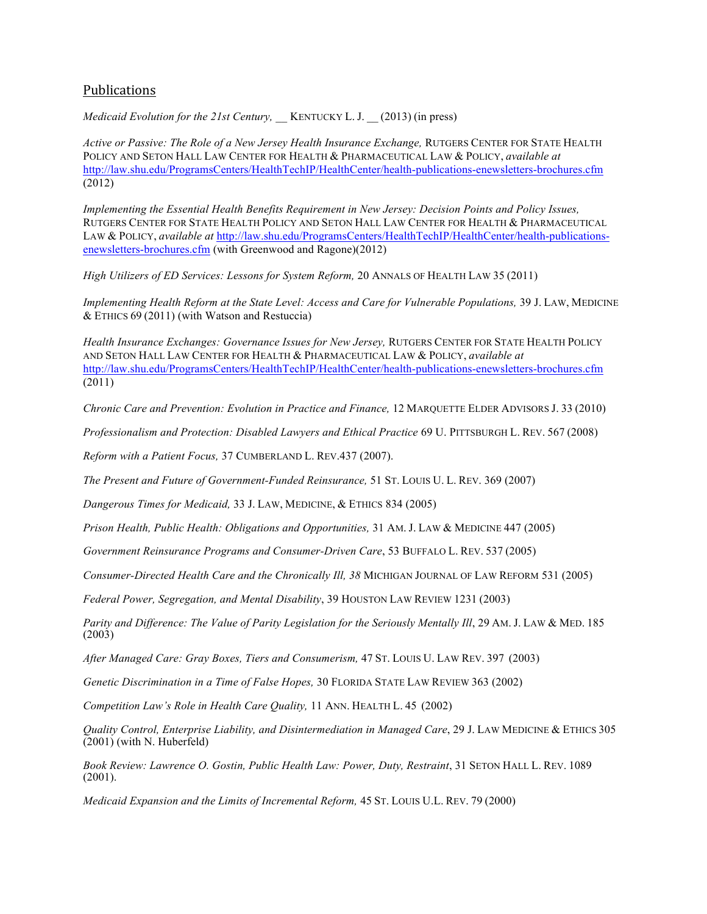### Publications

*Medicaid Evolution for the 21st Century,* KENTUCKY L. J.  $(2013)$  (in press)

*Active or Passive: The Role of a New Jersey Health Insurance Exchange,* RUTGERS CENTER FOR STATE HEALTH POLICY AND SETON HALL LAW CENTER FOR HEALTH & PHARMACEUTICAL LAW & POLICY, *available at* http://law.shu.edu/ProgramsCenters/HealthTechIP/HealthCenter/health-publications-enewsletters-brochures.cfm (2012)

*Implementing the Essential Health Benefits Requirement in New Jersey: Decision Points and Policy Issues,*  RUTGERS CENTER FOR STATE HEALTH POLICY AND SETON HALL LAW CENTER FOR HEALTH & PHARMACEUTICAL LAW & POLICY, *available at http://law.shu.edu/ProgramsCenters/HealthTechIP/HealthCenter/health-publications*enewsletters-brochures.cfm (with Greenwood and Ragone)(2012)

*High Utilizers of ED Services: Lessons for System Reform,* 20 ANNALS OF HEALTH LAW 35 (2011)

*Implementing Health Reform at the State Level: Access and Care for Vulnerable Populations,* 39 J. LAW, MEDICINE & ETHICS 69 (2011) (with Watson and Restuccia)

*Health Insurance Exchanges: Governance Issues for New Jersey,* RUTGERS CENTER FOR STATE HEALTH POLICY AND SETON HALL LAW CENTER FOR HEALTH & PHARMACEUTICAL LAW & POLICY, *available at* http://law.shu.edu/ProgramsCenters/HealthTechIP/HealthCenter/health-publications-enewsletters-brochures.cfm (2011)

*Chronic Care and Prevention: Evolution in Practice and Finance, 12 MARQUETTE ELDER ADVISORS J. 33 (2010)* 

*Professionalism and Protection: Disabled Lawyers and Ethical Practice* 69 U. PITTSBURGH L. REV. 567 (2008)

*Reform with a Patient Focus,* 37 CUMBERLAND L. REV.437 (2007).

*The Present and Future of Government-Funded Reinsurance,* 51 ST. LOUIS U. L. REV. 369 (2007)

*Dangerous Times for Medicaid,* 33 J. LAW, MEDICINE, & ETHICS 834 (2005)

*Prison Health, Public Health: Obligations and Opportunities,* 31 AM. J. LAW & MEDICINE 447 (2005)

*Government Reinsurance Programs and Consumer-Driven Care*, 53 BUFFALO L. REV. 537 (2005)

*Consumer-Directed Health Care and the Chronically Ill, 38* MICHIGAN JOURNAL OF LAW REFORM 531 (2005)

*Federal Power, Segregation, and Mental Disability*, 39 HOUSTON LAW REVIEW 1231 (2003)

*Parity and Difference: The Value of Parity Legislation for the Seriously Mentally III*, 29 AM. J. LAW & MED. 185 (2003)

*After Managed Care: Gray Boxes, Tiers and Consumerism,* 47 ST. LOUIS U. LAW REV. 397 (2003)

*Genetic Discrimination in a Time of False Hopes,* 30 FLORIDA STATE LAW REVIEW 363 (2002)

*Competition Law's Role in Health Care Quality,* 11 ANN. HEALTH L. 45 (2002)

*Quality Control, Enterprise Liability, and Disintermediation in Managed Care*, 29 J. LAW MEDICINE & ETHICS 305  $(2001)$  (with N. Huberfeld)

*Book Review: Lawrence O. Gostin, Public Health Law: Power, Duty, Restraint*, 31 SETON HALL L. REV. 1089 (2001).

*Medicaid Expansion and the Limits of Incremental Reform,* 45 ST. LOUIS U.L. REV. 79 (2000)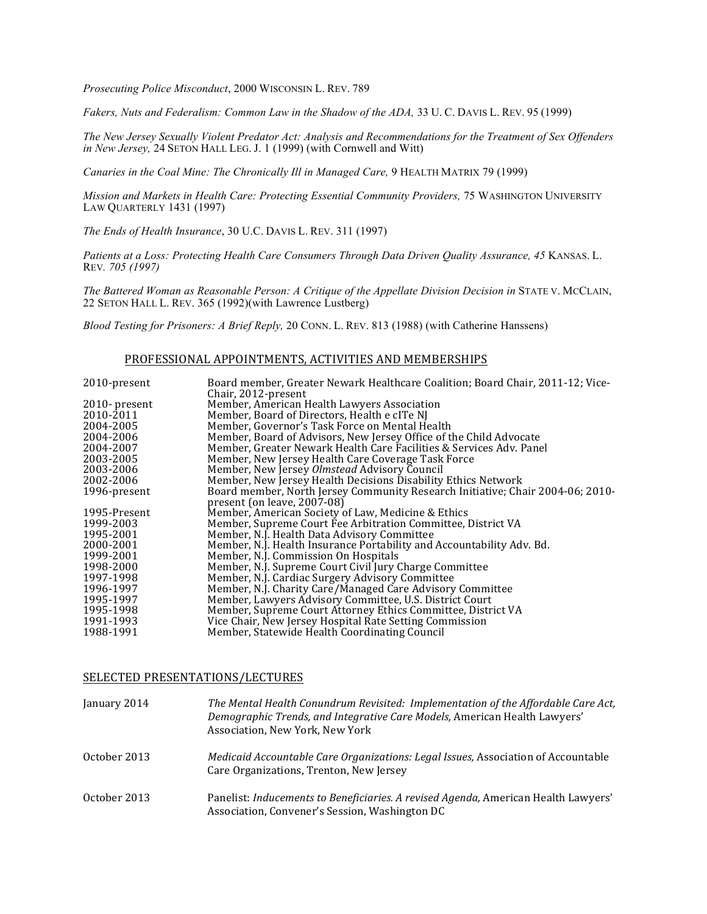*Prosecuting Police Misconduct*, 2000 WISCONSIN L. REV. 789

Fakers, Nuts and Federalism: Common Law in the Shadow of the ADA, 33 U.C. DAVIS L. REV. 95 (1999)

*The New Jersey Sexually Violent Predator Act: Analysis and Recommendations for the Treatment of Sex Offenders in New Jersey,* 24 SETON HALL LEG. J. 1 (1999) (with Cornwell and Witt)

*Canaries in the Coal Mine: The Chronically Ill in Managed Care,* 9 HEALTH MATRIX 79 (1999)

*Mission and Markets in Health Care: Protecting Essential Community Providers,* 75 WASHINGTON UNIVERSITY LAW QUARTERLY 1431 (1997)

*The Ends of Health Insurance*, 30 U.C. DAVIS L. REV. 311 (1997)

Patients at a Loss: Protecting Health Care Consumers Through Data Driven Quality Assurance, 45 KANSAS. L. REV*. 705 (1997)*

*The Battered Woman as Reasonable Person: A Critique of the Appellate Division Decision in STATE V. MCCLAIN,* 22 SETON HALL L. REV. 365 (1992)(with Lawrence Lustberg)

*Blood Testing for Prisoners: A Brief Reply,* 20 CONN. L. REV. 813 (1988) (with Catherine Hanssens)

#### PROFESSIONAL APPOINTMENTS, ACTIVITIES AND MEMBERSHIPS

| 2010-present     | Board member, Greater Newark Healthcare Coalition; Board Chair, 2011-12; Vice- |
|------------------|--------------------------------------------------------------------------------|
|                  | Chair, 2012-present                                                            |
| $2010$ - present | Member, American Health Lawyers Association                                    |
| 2010-2011        | Member, Board of Directors, Health e cITe NJ                                   |
| 2004-2005        | Member, Governor's Task Force on Mental Health                                 |
| 2004-2006        | Member, Board of Advisors, New Jersey Office of the Child Advocate             |
| 2004-2007        | Member, Greater Newark Health Care Facilities & Services Adv. Panel            |
| 2003-2005        | Member, New Jersey Health Care Coverage Task Force                             |
| 2003-2006        | Member, New Jersey Olmstead Advisory Council                                   |
| 2002-2006        | Member, New Jersey Health Decisions Disability Ethics Network                  |
| 1996-present     | Board member, North Jersey Community Research Initiative; Chair 2004-06; 2010- |
|                  | present (on leave, 2007-08)                                                    |
| 1995-Present     | Member, American Society of Law, Medicine & Ethics                             |
| 1999-2003        | Member, Supreme Court Fee Arbitration Committee, District VA                   |
| 1995-2001        | Member, N.J. Health Data Advisory Committee                                    |
| 2000-2001        | Member, N.J. Health Insurance Portability and Accountability Adv. Bd.          |
| 1999-2001        | Member, N.J. Commission On Hospitals                                           |
| 1998-2000        | Member, N.J. Supreme Court Civil Jury Charge Committee                         |
| 1997-1998        | Member, N.J. Cardiac Surgery Advisory Committee                                |
| 1996-1997        | Member, N.J. Charity Care/Managed Care Advisory Committee                      |
| 1995-1997        | Member, Lawyers Advisory Committee, U.S. District Court                        |
| 1995-1998        | Member, Supreme Court Attorney Ethics Committee, District VA                   |
| 1991-1993        | Vice Chair, New Jersey Hospital Rate Setting Commission                        |
| 1988-1991        | Member, Statewide Health Coordinating Council                                  |

### SELECTED PRESENTATIONS/LECTURES

| January 2014 | The Mental Health Conundrum Revisited: Implementation of the Affordable Care Act,<br>Demographic Trends, and Integrative Care Models, American Health Lawyers'<br>Association, New York, New York |
|--------------|---------------------------------------------------------------------------------------------------------------------------------------------------------------------------------------------------|
| October 2013 | <i>Medicaid Accountable Care Organizations: Legal Issues, Association of Accountable</i><br>Care Organizations, Trenton, New Jersey                                                               |
| October 2013 | Panelist: Inducements to Beneficiaries. A revised Agenda, American Health Lawyers'<br>Association, Convener's Session, Washington DC                                                              |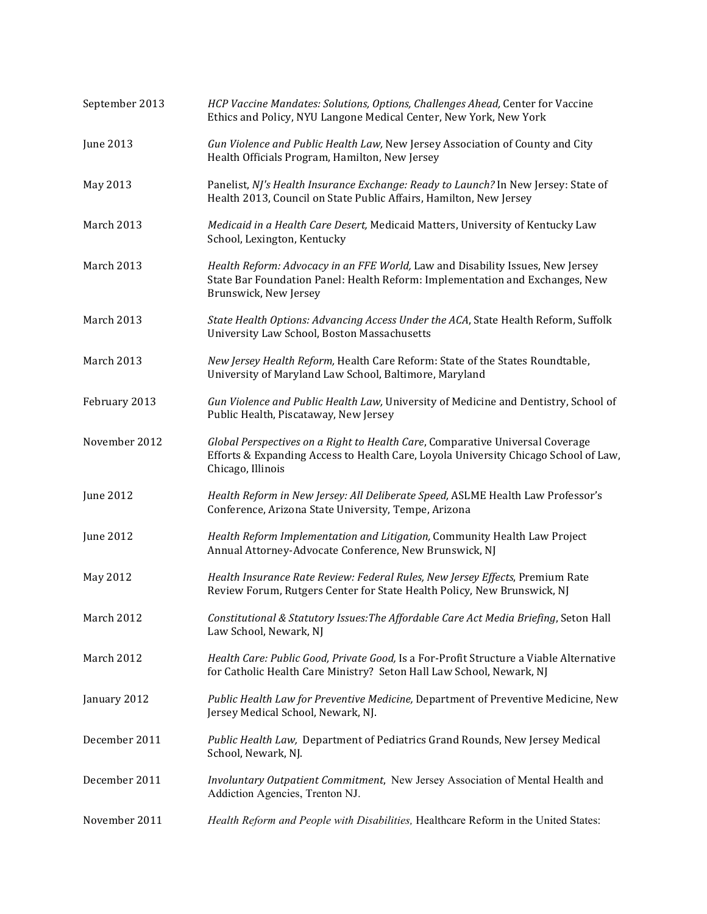| September 2013 | HCP Vaccine Mandates: Solutions, Options, Challenges Ahead, Center for Vaccine<br>Ethics and Policy, NYU Langone Medical Center, New York, New York                                       |
|----------------|-------------------------------------------------------------------------------------------------------------------------------------------------------------------------------------------|
| June 2013      | Gun Violence and Public Health Law, New Jersey Association of County and City<br>Health Officials Program, Hamilton, New Jersey                                                           |
| May 2013       | Panelist, NJ's Health Insurance Exchange: Ready to Launch? In New Jersey: State of<br>Health 2013, Council on State Public Affairs, Hamilton, New Jersey                                  |
| March 2013     | Medicaid in a Health Care Desert, Medicaid Matters, University of Kentucky Law<br>School, Lexington, Kentucky                                                                             |
| March 2013     | Health Reform: Advocacy in an FFE World, Law and Disability Issues, New Jersey<br>State Bar Foundation Panel: Health Reform: Implementation and Exchanges, New<br>Brunswick, New Jersey   |
| March 2013     | State Health Options: Advancing Access Under the ACA, State Health Reform, Suffolk<br>University Law School, Boston Massachusetts                                                         |
| March 2013     | New Jersey Health Reform, Health Care Reform: State of the States Roundtable,<br>University of Maryland Law School, Baltimore, Maryland                                                   |
| February 2013  | Gun Violence and Public Health Law, University of Medicine and Dentistry, School of<br>Public Health, Piscataway, New Jersey                                                              |
| November 2012  | Global Perspectives on a Right to Health Care, Comparative Universal Coverage<br>Efforts & Expanding Access to Health Care, Loyola University Chicago School of Law,<br>Chicago, Illinois |
| June 2012      | Health Reform in New Jersey: All Deliberate Speed, ASLME Health Law Professor's<br>Conference, Arizona State University, Tempe, Arizona                                                   |
| June 2012      | Health Reform Implementation and Litigation, Community Health Law Project<br>Annual Attorney-Advocate Conference, New Brunswick, NJ                                                       |
| May 2012       | Health Insurance Rate Review: Federal Rules, New Jersey Effects, Premium Rate<br>Review Forum, Rutgers Center for State Health Policy, New Brunswick, NJ                                  |
| March 2012     | Constitutional & Statutory Issues: The Affordable Care Act Media Briefing, Seton Hall<br>Law School, Newark, NJ                                                                           |
| March 2012     | Health Care: Public Good, Private Good, Is a For-Profit Structure a Viable Alternative<br>for Catholic Health Care Ministry? Seton Hall Law School, Newark, NJ                            |
| January 2012   | Public Health Law for Preventive Medicine, Department of Preventive Medicine, New<br>Jersey Medical School, Newark, NJ.                                                                   |
| December 2011  | Public Health Law, Department of Pediatrics Grand Rounds, New Jersey Medical<br>School, Newark, NJ.                                                                                       |
| December 2011  | Involuntary Outpatient Commitment, New Jersey Association of Mental Health and<br>Addiction Agencies, Trenton NJ.                                                                         |
| November 2011  | Health Reform and People with Disabilities, Healthcare Reform in the United States:                                                                                                       |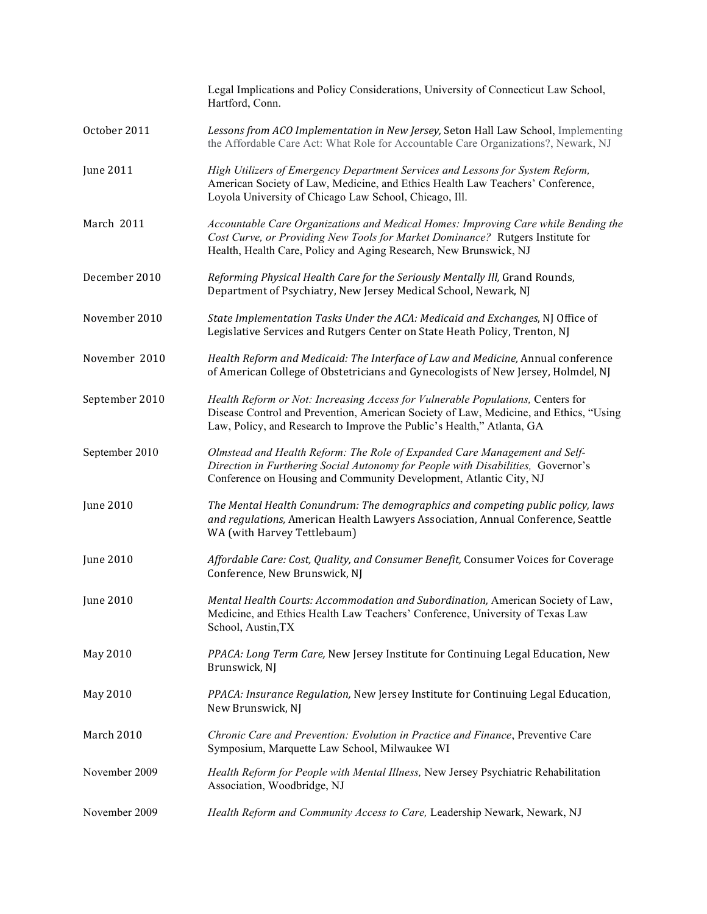|                  | Legal Implications and Policy Considerations, University of Connecticut Law School,<br>Hartford, Conn.                                                                                                                                             |
|------------------|----------------------------------------------------------------------------------------------------------------------------------------------------------------------------------------------------------------------------------------------------|
| October 2011     | Lessons from ACO Implementation in New Jersey, Seton Hall Law School, Implementing<br>the Affordable Care Act: What Role for Accountable Care Organizations?, Newark, NJ                                                                           |
| <b>June 2011</b> | High Utilizers of Emergency Department Services and Lessons for System Reform,<br>American Society of Law, Medicine, and Ethics Health Law Teachers' Conference,<br>Loyola University of Chicago Law School, Chicago, Ill.                         |
| March 2011       | Accountable Care Organizations and Medical Homes: Improving Care while Bending the<br>Cost Curve, or Providing New Tools for Market Dominance? Rutgers Institute for<br>Health, Health Care, Policy and Aging Research, New Brunswick, NJ          |
| December 2010    | Reforming Physical Health Care for the Seriously Mentally Ill, Grand Rounds,<br>Department of Psychiatry, New Jersey Medical School, Newark, NJ                                                                                                    |
| November 2010    | State Implementation Tasks Under the ACA: Medicaid and Exchanges, NJ Office of<br>Legislative Services and Rutgers Center on State Heath Policy, Trenton, NJ                                                                                       |
| November 2010    | Health Reform and Medicaid: The Interface of Law and Medicine, Annual conference<br>of American College of Obstetricians and Gynecologists of New Jersey, Holmdel, NJ                                                                              |
| September 2010   | Health Reform or Not: Increasing Access for Vulnerable Populations, Centers for<br>Disease Control and Prevention, American Society of Law, Medicine, and Ethics, "Using<br>Law, Policy, and Research to Improve the Public's Health," Atlanta, GA |
| September 2010   | Olmstead and Health Reform: The Role of Expanded Care Management and Self-<br>Direction in Furthering Social Autonomy for People with Disabilities, Governor's<br>Conference on Housing and Community Development, Atlantic City, NJ               |
| <b>June 2010</b> | The Mental Health Conundrum: The demographics and competing public policy, laws<br>and regulations, American Health Lawyers Association, Annual Conference, Seattle<br>WA (with Harvey Tettlebaum)                                                 |
| <b>June 2010</b> | Affordable Care: Cost, Quality, and Consumer Benefit, Consumer Voices for Coverage<br>Conference, New Brunswick, NJ                                                                                                                                |
| June 2010        | Mental Health Courts: Accommodation and Subordination, American Society of Law,<br>Medicine, and Ethics Health Law Teachers' Conference, University of Texas Law<br>School, Austin, TX                                                             |
| May 2010         | PPACA: Long Term Care, New Jersey Institute for Continuing Legal Education, New<br>Brunswick, NJ                                                                                                                                                   |
| May 2010         | PPACA: Insurance Regulation, New Jersey Institute for Continuing Legal Education,<br>New Brunswick, NJ                                                                                                                                             |
| March 2010       | Chronic Care and Prevention: Evolution in Practice and Finance, Preventive Care<br>Symposium, Marquette Law School, Milwaukee WI                                                                                                                   |
| November 2009    | Health Reform for People with Mental Illness, New Jersey Psychiatric Rehabilitation<br>Association, Woodbridge, NJ                                                                                                                                 |
| November 2009    | Health Reform and Community Access to Care, Leadership Newark, Newark, NJ                                                                                                                                                                          |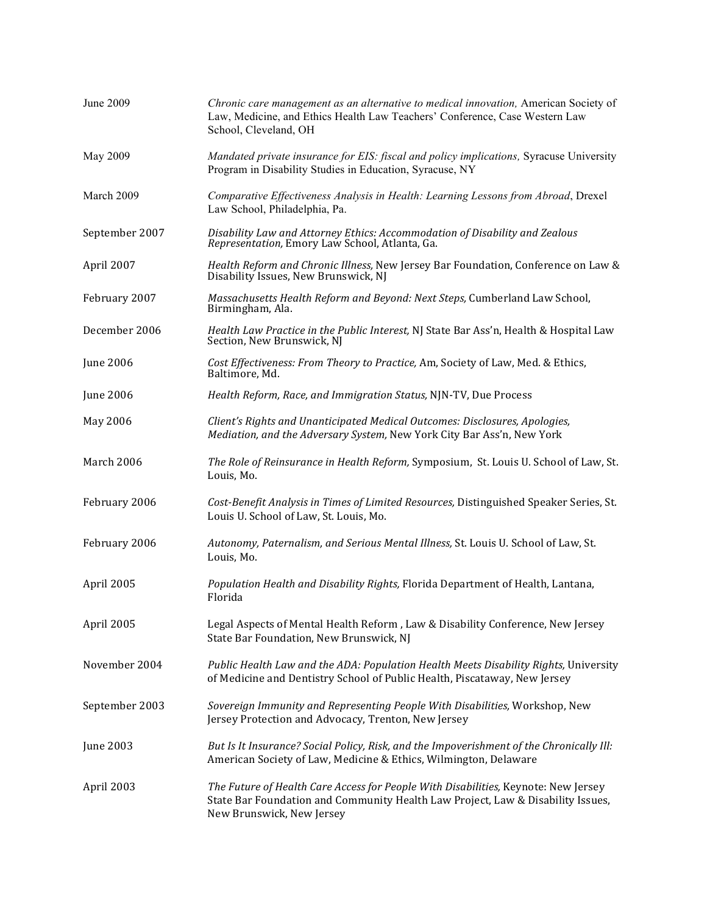| <b>June 2009</b> | Chronic care management as an alternative to medical innovation, American Society of<br>Law, Medicine, and Ethics Health Law Teachers' Conference, Case Western Law<br>School, Cleveland, OH       |
|------------------|----------------------------------------------------------------------------------------------------------------------------------------------------------------------------------------------------|
| May 2009         | Mandated private insurance for EIS: fiscal and policy implications, Syracuse University<br>Program in Disability Studies in Education, Syracuse, NY                                                |
| March 2009       | Comparative Effectiveness Analysis in Health: Learning Lessons from Abroad, Drexel<br>Law School, Philadelphia, Pa.                                                                                |
| September 2007   | Disability Law and Attorney Ethics: Accommodation of Disability and Zealous<br>Representation, Emory Law School, Atlanta, Ga.                                                                      |
| April 2007       | Health Reform and Chronic Illness, New Jersey Bar Foundation, Conference on Law &<br>Disability Issues, New Brunswick, NJ                                                                          |
| February 2007    | Massachusetts Health Reform and Beyond: Next Steps, Cumberland Law School,<br>Birmingham, Ala.                                                                                                     |
| December 2006    | Health Law Practice in the Public Interest, NJ State Bar Ass'n, Health & Hospital Law<br>Section, New Brunswick, NJ                                                                                |
| June 2006        | Cost Effectiveness: From Theory to Practice, Am, Society of Law, Med. & Ethics,<br>Baltimore, Md.                                                                                                  |
| <b>June 2006</b> | Health Reform, Race, and Immigration Status, NJN-TV, Due Process                                                                                                                                   |
| May 2006         | Client's Rights and Unanticipated Medical Outcomes: Disclosures, Apologies,<br>Mediation, and the Adversary System, New York City Bar Ass'n, New York                                              |
| March 2006       | The Role of Reinsurance in Health Reform, Symposium, St. Louis U. School of Law, St.<br>Louis, Mo.                                                                                                 |
| February 2006    | Cost-Benefit Analysis in Times of Limited Resources, Distinguished Speaker Series, St.<br>Louis U. School of Law, St. Louis, Mo.                                                                   |
| February 2006    | Autonomy, Paternalism, and Serious Mental Illness, St. Louis U. School of Law, St.<br>Louis, Mo.                                                                                                   |
| April 2005       | Population Health and Disability Rights, Florida Department of Health, Lantana,<br>Florida                                                                                                         |
| April 2005       | Legal Aspects of Mental Health Reform, Law & Disability Conference, New Jersey<br>State Bar Foundation, New Brunswick, NJ                                                                          |
| November 2004    | Public Health Law and the ADA: Population Health Meets Disability Rights, University<br>of Medicine and Dentistry School of Public Health, Piscataway, New Jersey                                  |
| September 2003   | Sovereign Immunity and Representing People With Disabilities, Workshop, New<br>Jersey Protection and Advocacy, Trenton, New Jersey                                                                 |
| June 2003        | But Is It Insurance? Social Policy, Risk, and the Impoverishment of the Chronically Ill:<br>American Society of Law, Medicine & Ethics, Wilmington, Delaware                                       |
| April 2003       | The Future of Health Care Access for People With Disabilities, Keynote: New Jersey<br>State Bar Foundation and Community Health Law Project, Law & Disability Issues,<br>New Brunswick, New Jersey |